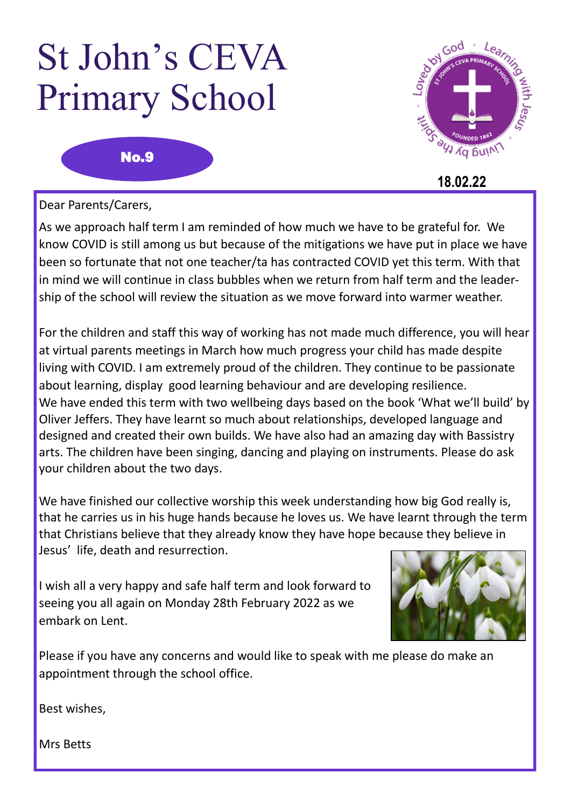## St John's CEVA Primary School

No.9



 **18.02.22**

Dear Parents/Carers,

As we approach half term I am reminded of how much we have to be grateful for. We know COVID is still among us but because of the mitigations we have put in place we have been so fortunate that not one teacher/ta has contracted COVID yet this term. With that in mind we will continue in class bubbles when we return from half term and the leadership of the school will review the situation as we move forward into warmer weather.

For the children and staff this way of working has not made much difference, you will hear at virtual parents meetings in March how much progress your child has made despite living with COVID. I am extremely proud of the children. They continue to be passionate about learning, display good learning behaviour and are developing resilience. We have ended this term with two wellbeing days based on the book 'What we'll build' by Oliver Jeffers. They have learnt so much about relationships, developed language and designed and created their own builds. We have also had an amazing day with Bassistry arts. The children have been singing, dancing and playing on instruments. Please do ask your children about the two days.

We have finished our collective worship this week understanding how big God really is, that he carries us in his huge hands because he loves us. We have learnt through the term that Christians believe that they already know they have hope because they believe in Jesus' life, death and resurrection.

I wish all a very happy and safe half term and look forward to seeing you all again on Monday 28th February 2022 as we embark on Lent.



Please if you have any concerns and would like to speak with me please do make an appointment through the school office.

Best wishes,

Mrs Betts